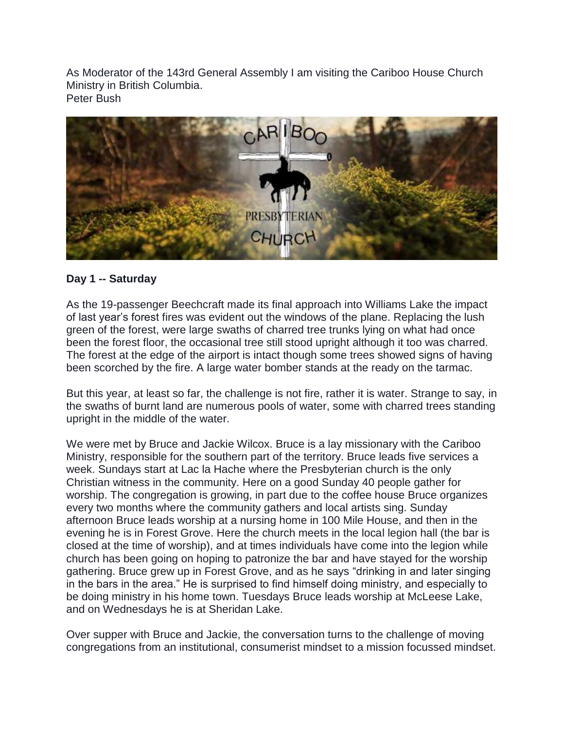As Moderator of the 143rd General Assembly I am visiting the Cariboo House Church Ministry in British Columbia. Peter Bush



# **Day 1 -- Saturday**

As the 19-passenger Beechcraft made its final approach into Williams Lake the impact of last year's forest fires was evident out the windows of the plane. Replacing the lush green of the forest, were large swaths of charred tree trunks lying on what had once been the forest floor, the occasional tree still stood upright although it too was charred. The forest at the edge of the airport is intact though some trees showed signs of having been scorched by the fire. A large water bomber stands at the ready on the tarmac.

But this year, at least so far, the challenge is not fire, rather it is water. Strange to say, in the swaths of burnt land are numerous pools of water, some with charred trees standing upright in the middle of the water.

We were met by Bruce and Jackie Wilcox. Bruce is a lay missionary with the Cariboo Ministry, responsible for the southern part of the territory. Bruce leads five services a week. Sundays start at Lac la Hache where the Presbyterian church is the only Christian witness in the community. Here on a good Sunday 40 people gather for worship. The congregation is growing, in part due to the coffee house Bruce organizes every two months where the community gathers and local artists sing. Sunday afternoon Bruce leads worship at a nursing home in 100 Mile House, and then in the evening he is in Forest Grove. Here the church meets in the local legion hall (the bar is closed at the time of worship), and at times individuals have come into the legion while church has been going on hoping to patronize the bar and have stayed for the worship gathering. Bruce grew up in Forest Grove, and as he says "drinking in and later singing in the bars in the area." He is surprised to find himself doing ministry, and especially to be doing ministry in his home town. Tuesdays Bruce leads worship at McLeese Lake, and on Wednesdays he is at Sheridan Lake.

Over supper with Bruce and Jackie, the conversation turns to the challenge of moving congregations from an institutional, consumerist mindset to a mission focussed mindset.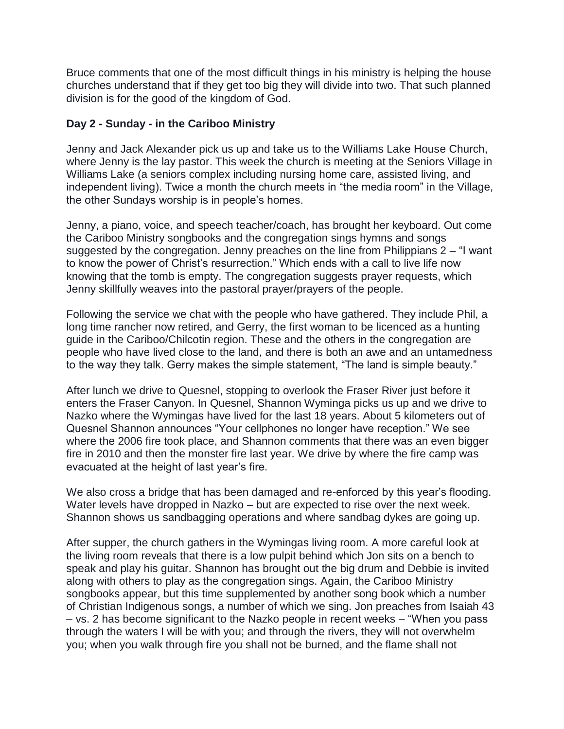Bruce comments that one of the most difficult things in his ministry is helping the house churches understand that if they get too big they will divide into two. That such planned division is for the good of the kingdom of God.

# **Day 2 - Sunday - in the Cariboo Ministry**

Jenny and Jack Alexander pick us up and take us to the Williams Lake House Church, where Jenny is the lay pastor. This week the church is meeting at the Seniors Village in Williams Lake (a seniors complex including nursing home care, assisted living, and independent living). Twice a month the church meets in "the media room" in the Village, the other Sundays worship is in people's homes.

Jenny, a piano, voice, and speech teacher/coach, has brought her keyboard. Out come the Cariboo Ministry songbooks and the congregation sings hymns and songs suggested by the congregation. Jenny preaches on the line from Philippians 2 – "I want to know the power of Christ's resurrection." Which ends with a call to live life now knowing that the tomb is empty. The congregation suggests prayer requests, which Jenny skillfully weaves into the pastoral prayer/prayers of the people.

Following the service we chat with the people who have gathered. They include Phil, a long time rancher now retired, and Gerry, the first woman to be licenced as a hunting guide in the Cariboo/Chilcotin region. These and the others in the congregation are people who have lived close to the land, and there is both an awe and an untamedness to the way they talk. Gerry makes the simple statement, "The land is simple beauty."

After lunch we drive to Quesnel, stopping to overlook the Fraser River just before it enters the Fraser Canyon. In Quesnel, Shannon Wyminga picks us up and we drive to Nazko where the Wymingas have lived for the last 18 years. About 5 kilometers out of Quesnel Shannon announces "Your cellphones no longer have reception." We see where the 2006 fire took place, and Shannon comments that there was an even bigger fire in 2010 and then the monster fire last year. We drive by where the fire camp was evacuated at the height of last year's fire.

We also cross a bridge that has been damaged and re-enforced by this year's flooding. Water levels have dropped in Nazko – but are expected to rise over the next week. Shannon shows us sandbagging operations and where sandbag dykes are going up.

After supper, the church gathers in the Wymingas living room. A more careful look at the living room reveals that there is a low pulpit behind which Jon sits on a bench to speak and play his guitar. Shannon has brought out the big drum and Debbie is invited along with others to play as the congregation sings. Again, the Cariboo Ministry songbooks appear, but this time supplemented by another song book which a number of Christian Indigenous songs, a number of which we sing. Jon preaches from Isaiah 43 – vs. 2 has become significant to the Nazko people in recent weeks – "When you pass through the waters I will be with you; and through the rivers, they will not overwhelm you; when you walk through fire you shall not be burned, and the flame shall not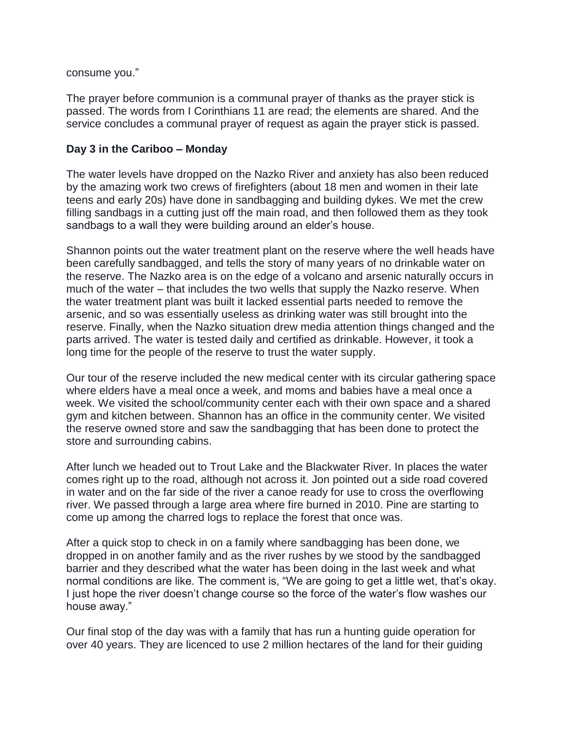consume you."

The prayer before communion is a communal prayer of thanks as the prayer stick is passed. The words from I Corinthians 11 are read; the elements are shared. And the service concludes a communal prayer of request as again the prayer stick is passed.

### **Day 3 in the Cariboo – Monday**

The water levels have dropped on the Nazko River and anxiety has also been reduced by the amazing work two crews of firefighters (about 18 men and women in their late teens and early 20s) have done in sandbagging and building dykes. We met the crew filling sandbags in a cutting just off the main road, and then followed them as they took sandbags to a wall they were building around an elder's house.

Shannon points out the water treatment plant on the reserve where the well heads have been carefully sandbagged, and tells the story of many years of no drinkable water on the reserve. The Nazko area is on the edge of a volcano and arsenic naturally occurs in much of the water – that includes the two wells that supply the Nazko reserve. When the water treatment plant was built it lacked essential parts needed to remove the arsenic, and so was essentially useless as drinking water was still brought into the reserve. Finally, when the Nazko situation drew media attention things changed and the parts arrived. The water is tested daily and certified as drinkable. However, it took a long time for the people of the reserve to trust the water supply.

Our tour of the reserve included the new medical center with its circular gathering space where elders have a meal once a week, and moms and babies have a meal once a week. We visited the school/community center each with their own space and a shared gym and kitchen between. Shannon has an office in the community center. We visited the reserve owned store and saw the sandbagging that has been done to protect the store and surrounding cabins.

After lunch we headed out to Trout Lake and the Blackwater River. In places the water comes right up to the road, although not across it. Jon pointed out a side road covered in water and on the far side of the river a canoe ready for use to cross the overflowing river. We passed through a large area where fire burned in 2010. Pine are starting to come up among the charred logs to replace the forest that once was.

After a quick stop to check in on a family where sandbagging has been done, we dropped in on another family and as the river rushes by we stood by the sandbagged barrier and they described what the water has been doing in the last week and what normal conditions are like. The comment is, "We are going to get a little wet, that's okay. I just hope the river doesn't change course so the force of the water's flow washes our house away."

Our final stop of the day was with a family that has run a hunting guide operation for over 40 years. They are licenced to use 2 million hectares of the land for their guiding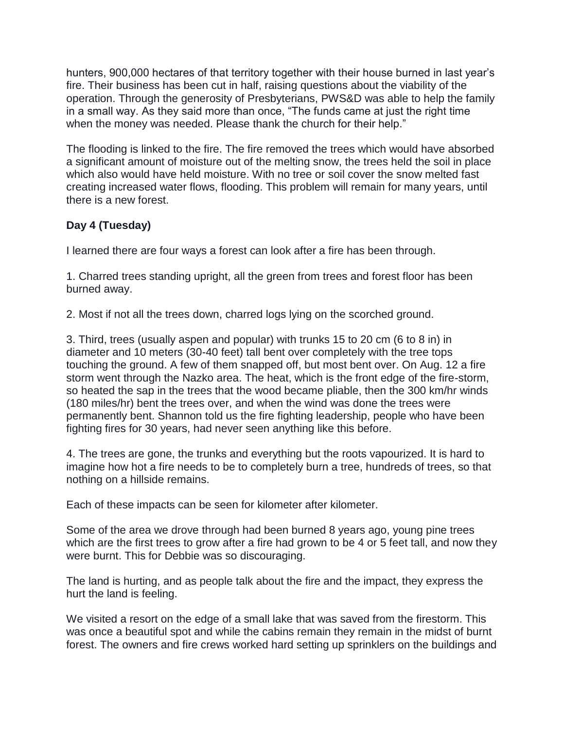hunters, 900,000 hectares of that territory together with their house burned in last year's fire. Their business has been cut in half, raising questions about the viability of the operation. Through the generosity of Presbyterians, PWS&D was able to help the family in a small way. As they said more than once, "The funds came at just the right time when the money was needed. Please thank the church for their help."

The flooding is linked to the fire. The fire removed the trees which would have absorbed a significant amount of moisture out of the melting snow, the trees held the soil in place which also would have held moisture. With no tree or soil cover the snow melted fast creating increased water flows, flooding. This problem will remain for many years, until there is a new forest.

# **Day 4 (Tuesday)**

I learned there are four ways a forest can look after a fire has been through.

1. Charred trees standing upright, all the green from trees and forest floor has been burned away.

2. Most if not all the trees down, charred logs lying on the scorched ground.

3. Third, trees (usually aspen and popular) with trunks 15 to 20 cm (6 to 8 in) in diameter and 10 meters (30-40 feet) tall bent over completely with the tree tops touching the ground. A few of them snapped off, but most bent over. On Aug. 12 a fire storm went through the Nazko area. The heat, which is the front edge of the fire-storm, so heated the sap in the trees that the wood became pliable, then the 300 km/hr winds (180 miles/hr) bent the trees over, and when the wind was done the trees were permanently bent. Shannon told us the fire fighting leadership, people who have been fighting fires for 30 years, had never seen anything like this before.

4. The trees are gone, the trunks and everything but the roots vapourized. It is hard to imagine how hot a fire needs to be to completely burn a tree, hundreds of trees, so that nothing on a hillside remains.

Each of these impacts can be seen for kilometer after kilometer.

Some of the area we drove through had been burned 8 years ago, young pine trees which are the first trees to grow after a fire had grown to be 4 or 5 feet tall, and now they were burnt. This for Debbie was so discouraging.

The land is hurting, and as people talk about the fire and the impact, they express the hurt the land is feeling.

We visited a resort on the edge of a small lake that was saved from the firestorm. This was once a beautiful spot and while the cabins remain they remain in the midst of burnt forest. The owners and fire crews worked hard setting up sprinklers on the buildings and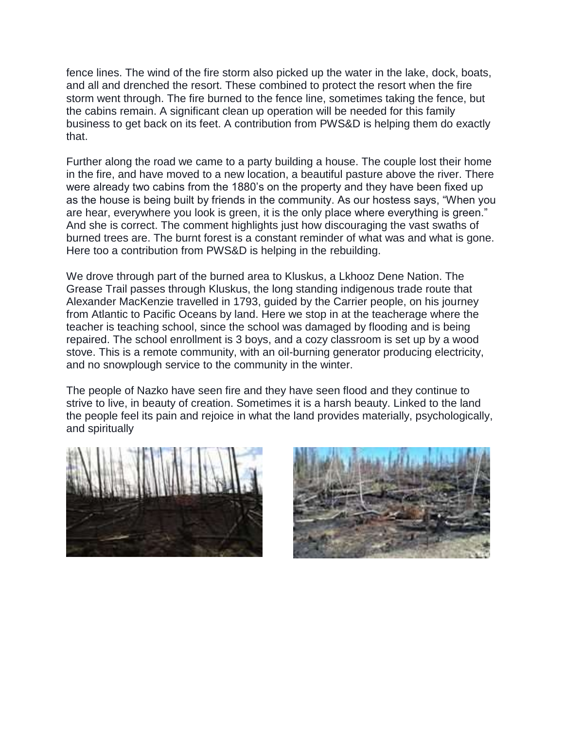fence lines. The wind of the fire storm also picked up the water in the lake, dock, boats, and all and drenched the resort. These combined to protect the resort when the fire storm went through. The fire burned to the fence line, sometimes taking the fence, but the cabins remain. A significant clean up operation will be needed for this family business to get back on its feet. A contribution from PWS&D is helping them do exactly that.

Further along the road we came to a party building a house. The couple lost their home in the fire, and have moved to a new location, a beautiful pasture above the river. There were already two cabins from the 1880's on the property and they have been fixed up as the house is being built by friends in the community. As our hostess says, "When you are hear, everywhere you look is green, it is the only place where everything is green." And she is correct. The comment highlights just how discouraging the vast swaths of burned trees are. The burnt forest is a constant reminder of what was and what is gone. Here too a contribution from PWS&D is helping in the rebuilding.

We drove through part of the burned area to Kluskus, a Lkhooz Dene Nation. The Grease Trail passes through Kluskus, the long standing indigenous trade route that Alexander MacKenzie travelled in 1793, guided by the Carrier people, on his journey from Atlantic to Pacific Oceans by land. Here we stop in at the teacherage where the teacher is teaching school, since the school was damaged by flooding and is being repaired. The school enrollment is 3 boys, and a cozy classroom is set up by a wood stove. This is a remote community, with an oil-burning generator producing electricity, and no snowplough service to the community in the winter.

The people of Nazko have seen fire and they have seen flood and they continue to strive to live, in beauty of creation. Sometimes it is a harsh beauty. Linked to the land the people feel its pain and rejoice in what the land provides materially, psychologically, and spiritually



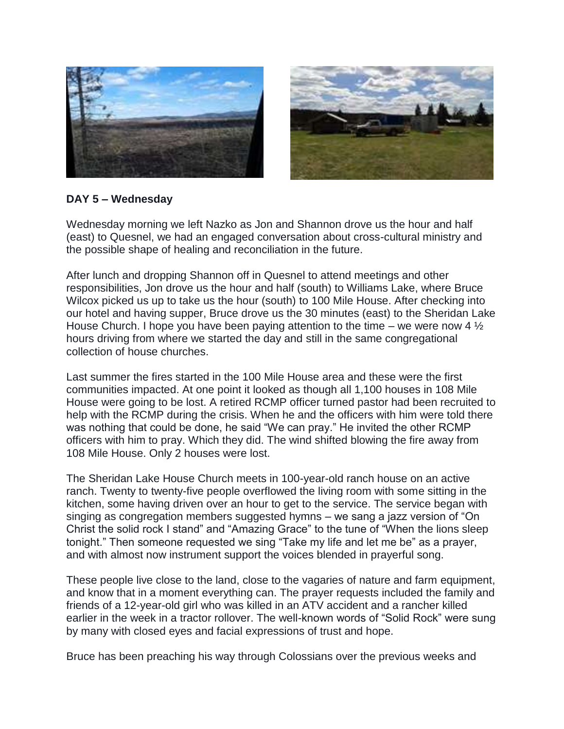



# **DAY 5 – Wednesday**

Wednesday morning we left Nazko as Jon and Shannon drove us the hour and half (east) to Quesnel, we had an engaged conversation about cross-cultural ministry and the possible shape of healing and reconciliation in the future.

After lunch and dropping Shannon off in Quesnel to attend meetings and other responsibilities, Jon drove us the hour and half (south) to Williams Lake, where Bruce Wilcox picked us up to take us the hour (south) to 100 Mile House. After checking into our hotel and having supper, Bruce drove us the 30 minutes (east) to the Sheridan Lake House Church. I hope you have been paying attention to the time – we were now 4  $\frac{1}{2}$ hours driving from where we started the day and still in the same congregational collection of house churches.

Last summer the fires started in the 100 Mile House area and these were the first communities impacted. At one point it looked as though all 1,100 houses in 108 Mile House were going to be lost. A retired RCMP officer turned pastor had been recruited to help with the RCMP during the crisis. When he and the officers with him were told there was nothing that could be done, he said "We can pray." He invited the other RCMP officers with him to pray. Which they did. The wind shifted blowing the fire away from 108 Mile House. Only 2 houses were lost.

The Sheridan Lake House Church meets in 100-year-old ranch house on an active ranch. Twenty to twenty-five people overflowed the living room with some sitting in the kitchen, some having driven over an hour to get to the service. The service began with singing as congregation members suggested hymns – we sang a jazz version of "On Christ the solid rock I stand" and "Amazing Grace" to the tune of "When the lions sleep tonight." Then someone requested we sing "Take my life and let me be" as a prayer, and with almost now instrument support the voices blended in prayerful song.

These people live close to the land, close to the vagaries of nature and farm equipment, and know that in a moment everything can. The prayer requests included the family and friends of a 12-year-old girl who was killed in an ATV accident and a rancher killed earlier in the week in a tractor rollover. The well-known words of "Solid Rock" were sung by many with closed eyes and facial expressions of trust and hope.

Bruce has been preaching his way through Colossians over the previous weeks and